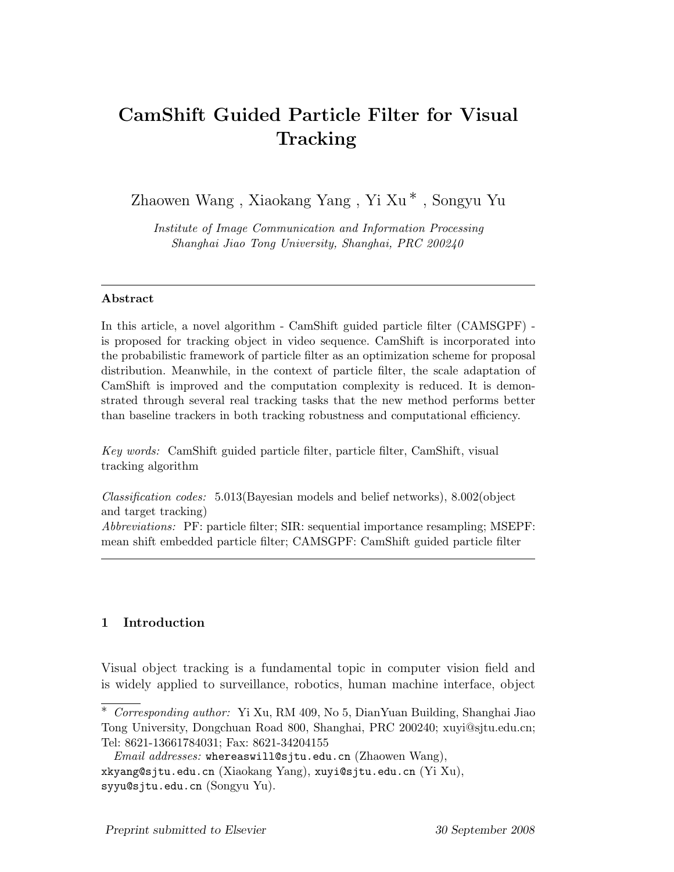# CamShift Guided Particle Filter for Visual **Tracking**

Zhaowen Wang , Xiaokang Yang , Yi Xu ∗ , Songyu Yu

Institute of Image Communication and Information Processing Shanghai Jiao Tong University, Shanghai, PRC 200240

## Abstract

In this article, a novel algorithm - CamShift guided particle filter (CAMSGPF) is proposed for tracking object in video sequence. CamShift is incorporated into the probabilistic framework of particle filter as an optimization scheme for proposal distribution. Meanwhile, in the context of particle filter, the scale adaptation of CamShift is improved and the computation complexity is reduced. It is demonstrated through several real tracking tasks that the new method performs better than baseline trackers in both tracking robustness and computational efficiency.

Key words: CamShift guided particle filter, particle filter, CamShift, visual tracking algorithm

Classification codes: 5.013(Bayesian models and belief networks), 8.002(object and target tracking)

Abbreviations: PF: particle filter; SIR: sequential importance resampling; MSEPF: mean shift embedded particle filter; CAMSGPF: CamShift guided particle filter

# 1 Introduction

Visual object tracking is a fundamental topic in computer vision field and is widely applied to surveillance, robotics, human machine interface, object

<sup>∗</sup> Corresponding author: Yi Xu, RM 409, No 5, DianYuan Building, Shanghai Jiao Tong University, Dongchuan Road 800, Shanghai, PRC 200240; xuyi@sjtu.edu.cn; Tel: 8621-13661784031; Fax: 8621-34204155

*Email addresses:* whereaswill@sjtu.edu.cn (Zhaowen Wang), xkyang@sjtu.edu.cn (Xiaokang Yang), xuyi@sjtu.edu.cn (Yi Xu), syyu@sjtu.edu.cn (Songyu Yu).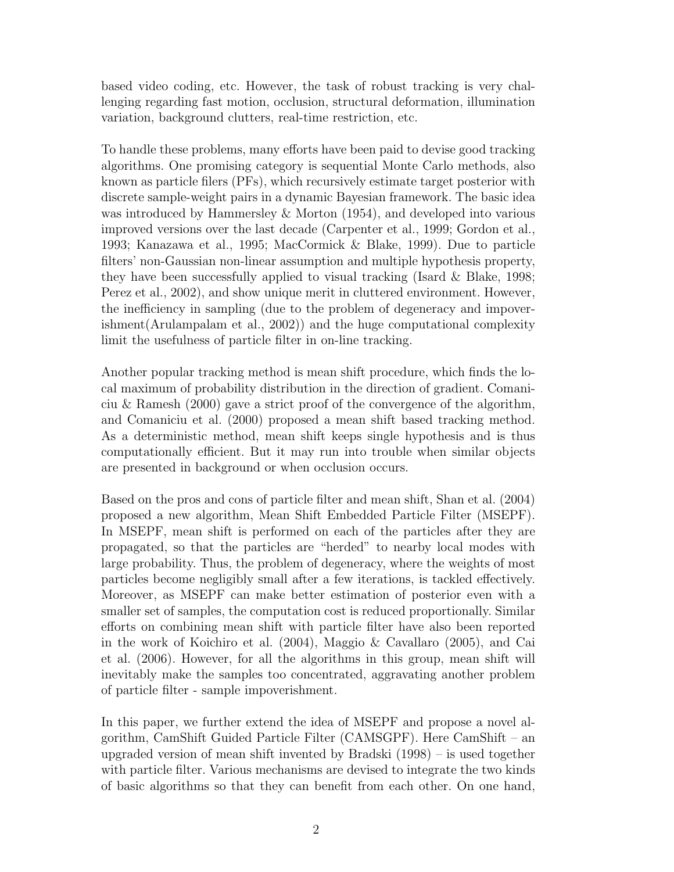based video coding, etc. However, the task of robust tracking is very challenging regarding fast motion, occlusion, structural deformation, illumination variation, background clutters, real-time restriction, etc.

To handle these problems, many efforts have been paid to devise good tracking algorithms. One promising category is sequential Monte Carlo methods, also known as particle filers (PFs), which recursively estimate target posterior with discrete sample-weight pairs in a dynamic Bayesian framework. The basic idea was introduced by Hammersley & Morton (1954), and developed into various improved versions over the last decade (Carpenter et al., 1999; Gordon et al., 1993; Kanazawa et al., 1995; MacCormick & Blake, 1999). Due to particle filters' non-Gaussian non-linear assumption and multiple hypothesis property, they have been successfully applied to visual tracking (Isard & Blake, 1998; Perez et al., 2002), and show unique merit in cluttered environment. However, the inefficiency in sampling (due to the problem of degeneracy and impoverishment(Arulampalam et al., 2002)) and the huge computational complexity limit the usefulness of particle filter in on-line tracking.

Another popular tracking method is mean shift procedure, which finds the local maximum of probability distribution in the direction of gradient. Comaniciu & Ramesh (2000) gave a strict proof of the convergence of the algorithm, and Comaniciu et al. (2000) proposed a mean shift based tracking method. As a deterministic method, mean shift keeps single hypothesis and is thus computationally efficient. But it may run into trouble when similar objects are presented in background or when occlusion occurs.

Based on the pros and cons of particle filter and mean shift, Shan et al. (2004) proposed a new algorithm, Mean Shift Embedded Particle Filter (MSEPF). In MSEPF, mean shift is performed on each of the particles after they are propagated, so that the particles are "herded" to nearby local modes with large probability. Thus, the problem of degeneracy, where the weights of most particles become negligibly small after a few iterations, is tackled effectively. Moreover, as MSEPF can make better estimation of posterior even with a smaller set of samples, the computation cost is reduced proportionally. Similar efforts on combining mean shift with particle filter have also been reported in the work of Koichiro et al. (2004), Maggio & Cavallaro (2005), and Cai et al. (2006). However, for all the algorithms in this group, mean shift will inevitably make the samples too concentrated, aggravating another problem of particle filter - sample impoverishment.

In this paper, we further extend the idea of MSEPF and propose a novel algorithm, CamShift Guided Particle Filter (CAMSGPF). Here CamShift – an upgraded version of mean shift invented by Bradski (1998) – is used together with particle filter. Various mechanisms are devised to integrate the two kinds of basic algorithms so that they can benefit from each other. On one hand,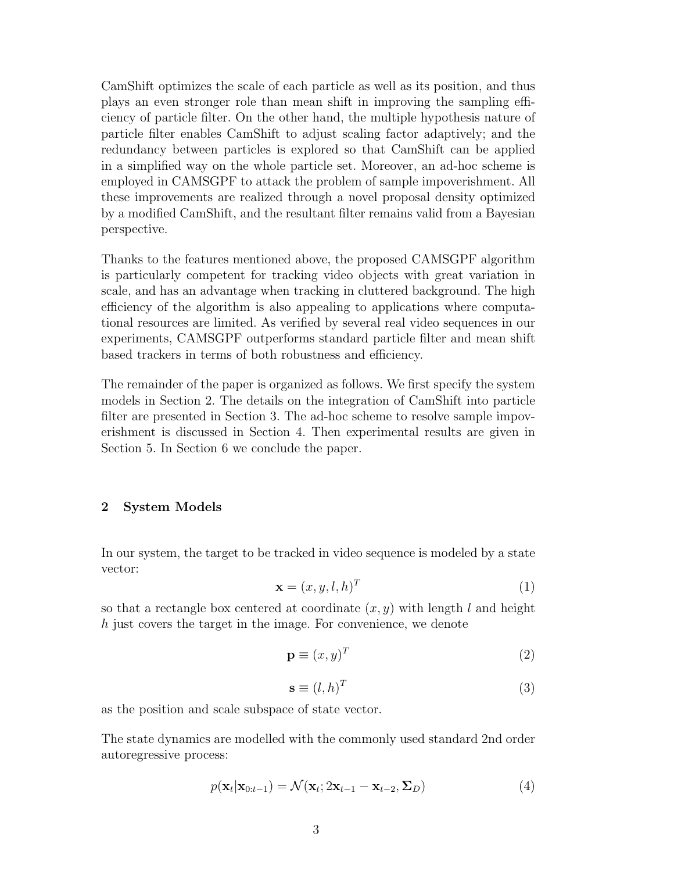CamShift optimizes the scale of each particle as well as its position, and thus plays an even stronger role than mean shift in improving the sampling efficiency of particle filter. On the other hand, the multiple hypothesis nature of particle filter enables CamShift to adjust scaling factor adaptively; and the redundancy between particles is explored so that CamShift can be applied in a simplified way on the whole particle set. Moreover, an ad-hoc scheme is employed in CAMSGPF to attack the problem of sample impoverishment. All these improvements are realized through a novel proposal density optimized by a modified CamShift, and the resultant filter remains valid from a Bayesian perspective.

Thanks to the features mentioned above, the proposed CAMSGPF algorithm is particularly competent for tracking video objects with great variation in scale, and has an advantage when tracking in cluttered background. The high efficiency of the algorithm is also appealing to applications where computational resources are limited. As verified by several real video sequences in our experiments, CAMSGPF outperforms standard particle filter and mean shift based trackers in terms of both robustness and efficiency.

The remainder of the paper is organized as follows. We first specify the system models in Section 2. The details on the integration of CamShift into particle filter are presented in Section 3. The ad-hoc scheme to resolve sample impoverishment is discussed in Section 4. Then experimental results are given in Section 5. In Section 6 we conclude the paper.

#### 2 System Models

In our system, the target to be tracked in video sequence is modeled by a state vector:

$$
\mathbf{x} = (x, y, l, h)^T \tag{1}
$$

so that a rectangle box centered at coordinate  $(x, y)$  with length l and height h just covers the target in the image. For convenience, we denote

$$
\mathbf{p} \equiv (x, y)^T \tag{2}
$$

$$
\mathbf{s} \equiv (l, h)^T \tag{3}
$$

as the position and scale subspace of state vector.

The state dynamics are modelled with the commonly used standard 2nd order autoregressive process:

$$
p(\mathbf{x}_t|\mathbf{x}_{0:t-1}) = \mathcal{N}(\mathbf{x}_t; 2\mathbf{x}_{t-1} - \mathbf{x}_{t-2}, \Sigma_D)
$$
\n(4)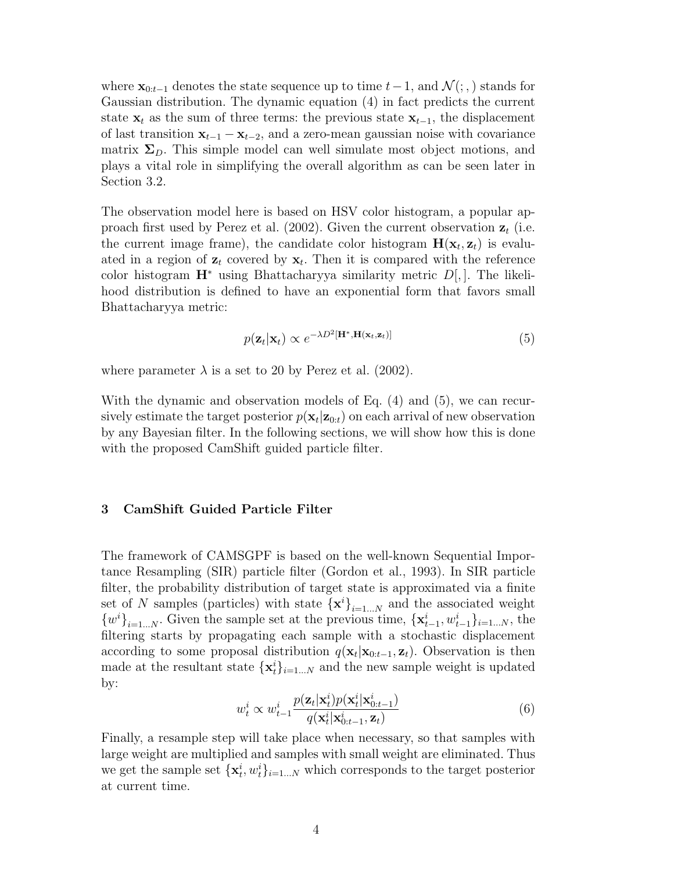where  $\mathbf{x}_{0:t-1}$  denotes the state sequence up to time  $t-1$ , and  $\mathcal{N}(\cdot, \cdot)$  stands for Gaussian distribution. The dynamic equation (4) in fact predicts the current state  $x_t$  as the sum of three terms: the previous state  $x_{t-1}$ , the displacement of last transition  $x_{t-1} - x_{t-2}$ , and a zero-mean gaussian noise with covariance matrix  $\Sigma_D$ . This simple model can well simulate most object motions, and plays a vital role in simplifying the overall algorithm as can be seen later in Section 3.2.

The observation model here is based on HSV color histogram, a popular approach first used by Perez et al. (2002). Given the current observation  $z_t$  (i.e. the current image frame), the candidate color histogram  $H(\mathbf{x}_t, \mathbf{z}_t)$  is evaluated in a region of  $z_t$  covered by  $x_t$ . Then it is compared with the reference color histogram  $\mathbf{H}^*$  using Bhattacharyya similarity metric  $D|, |$ . The likelihood distribution is defined to have an exponential form that favors small Bhattacharyya metric:

$$
p(\mathbf{z}_t|\mathbf{x}_t) \propto e^{-\lambda D^2[\mathbf{H}^*, \mathbf{H}(\mathbf{x}_t, \mathbf{z}_t)]}
$$
\n(5)

where parameter  $\lambda$  is a set to 20 by Perez et al. (2002).

With the dynamic and observation models of Eq. (4) and (5), we can recursively estimate the target posterior  $p(\mathbf{x}_t|\mathbf{z}_{0:t})$  on each arrival of new observation by any Bayesian filter. In the following sections, we will show how this is done with the proposed CamShift guided particle filter.

#### 3 CamShift Guided Particle Filter

The framework of CAMSGPF is based on the well-known Sequential Importance Resampling (SIR) particle filter (Gordon et al., 1993). In SIR particle filter, the probability distribution of target state is approximated via a finite set of N samples (particles) with state  $\{x^i\}_{i=1...N}$  and the associated weight  ${w<sup>i</sup>}_{i=1...N}$ . Given the sample set at the previous time,  ${x<sup>i</sup>_{t-1}, w<sup>i</sup>_{t-1}}_{i=1...N}$ , the filtering starts by propagating each sample with a stochastic displacement according to some proposal distribution  $q(\mathbf{x}_t|\mathbf{x}_{0:t-1}, \mathbf{z}_t)$ . Observation is then made at the resultant state  $\{\mathbf x_t^i\}_{i=1...N}$  and the new sample weight is updated by:

$$
w_t^i \propto w_{t-1}^i \frac{p(\mathbf{z}_t|\mathbf{x}_t^i)p(\mathbf{x}_t^i|\mathbf{x}_{0:t-1}^i)}{q(\mathbf{x}_t^i|\mathbf{x}_{0:t-1}^i, \mathbf{z}_t)} \tag{6}
$$

Finally, a resample step will take place when necessary, so that samples with large weight are multiplied and samples with small weight are eliminated. Thus we get the sample set  $\{\mathbf x_t^i, w_t^i\}_{i=1...N}$  which corresponds to the target posterior at current time.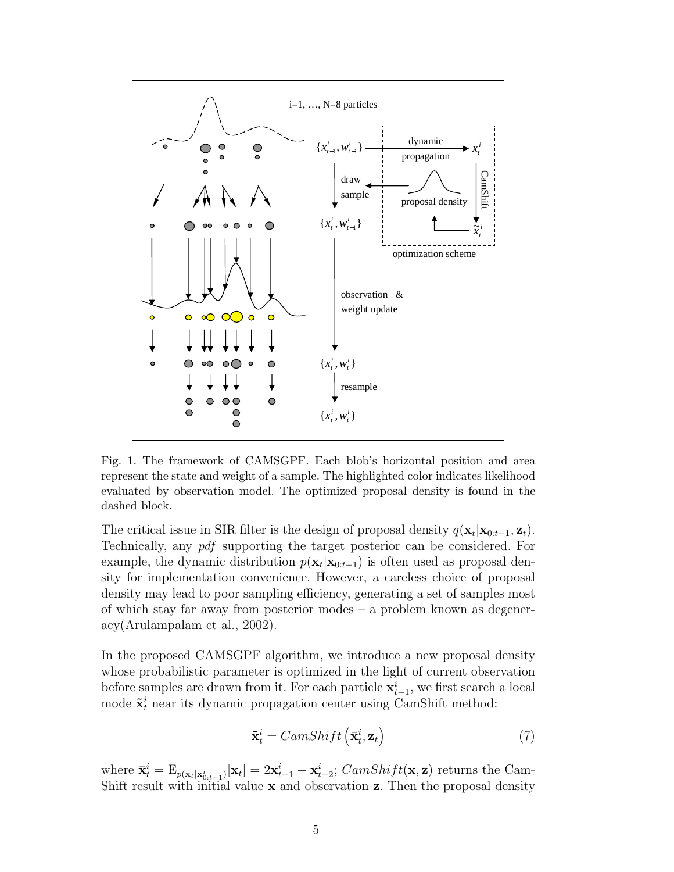

Fig. 1. The framework of CAMSGPF. Each blob's horizontal position and area represent the state and weight of a sample. The highlighted color indicates likelihood evaluated by observation model. The optimized proposal density is found in the dashed block.

The critical issue in SIR filter is the design of proposal density  $q(\mathbf{x}_t|\mathbf{x}_{0:t-1}, \mathbf{z}_t)$ . Technically, any pdf supporting the target posterior can be considered. For example, the dynamic distribution  $p(\mathbf{x}_t|\mathbf{x}_{0:t-1})$  is often used as proposal density for implementation convenience. However, a careless choice of proposal density may lead to poor sampling efficiency, generating a set of samples most of which stay far away from posterior modes – a problem known as degeneracy(Arulampalam et al., 2002).

In the proposed CAMSGPF algorithm, we introduce a new proposal density whose probabilistic parameter is optimized in the light of current observation before samples are drawn from it. For each particle  $\mathbf{x}_{t-1}^i$ , we first search a local mode  $\tilde{\mathbf{x}}_t^i$  near its dynamic propagation center using CamShift method:

$$
\tilde{\mathbf{x}}_t^i = CamShift\left(\bar{\mathbf{x}}_t^i, \mathbf{z}_t\right) \tag{7}
$$

where  $\bar{\mathbf{x}}_t^i = \mathrm{E}_{p(\mathbf{x}_t|\mathbf{x}_{0:t-1}^i)}[\mathbf{x}_t] = 2\mathbf{x}_{t-1}^i - \mathbf{x}_{t-2}^i$ ;  $CamShift(\mathbf{x}, \mathbf{z})$  returns the Cam-Shift result with initial value  $x$  and observation  $z$ . Then the proposal density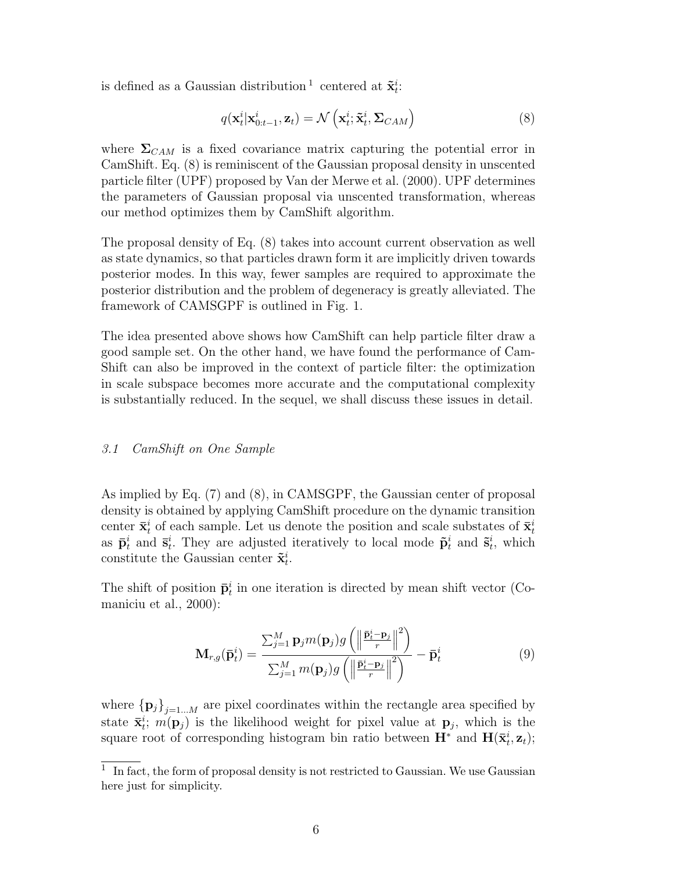is defined as a Gaussian distribution <sup>1</sup> centered at  $\tilde{\mathbf{x}}_t^i$ :

$$
q(\mathbf{x}_t^i|\mathbf{x}_{0:t-1}^i,\mathbf{z}_t) = \mathcal{N}\left(\mathbf{x}_t^i;\tilde{\mathbf{x}}_t^i,\Sigma_{CAM}\right)
$$
\n(8)

where  $\Sigma_{CAM}$  is a fixed covariance matrix capturing the potential error in CamShift. Eq. (8) is reminiscent of the Gaussian proposal density in unscented particle filter (UPF) proposed by Van der Merwe et al. (2000). UPF determines the parameters of Gaussian proposal via unscented transformation, whereas our method optimizes them by CamShift algorithm.

The proposal density of Eq. (8) takes into account current observation as well as state dynamics, so that particles drawn form it are implicitly driven towards posterior modes. In this way, fewer samples are required to approximate the posterior distribution and the problem of degeneracy is greatly alleviated. The framework of CAMSGPF is outlined in Fig. 1.

The idea presented above shows how CamShift can help particle filter draw a good sample set. On the other hand, we have found the performance of Cam-Shift can also be improved in the context of particle filter: the optimization in scale subspace becomes more accurate and the computational complexity is substantially reduced. In the sequel, we shall discuss these issues in detail.

#### 3.1 CamShift on One Sample

As implied by Eq. (7) and (8), in CAMSGPF, the Gaussian center of proposal density is obtained by applying CamShift procedure on the dynamic transition center  $\bar{\mathbf{x}}_t^i$  of each sample. Let us denote the position and scale substates of  $\bar{\mathbf{x}}_t^i$ as  $\bar{\mathbf{p}}_t^i$  and  $\bar{\mathbf{s}}_t^i$ . They are adjusted iteratively to local mode  $\tilde{\mathbf{p}}_t^i$  and  $\tilde{\mathbf{s}}_t^i$ , which constitute the Gaussian center  $\tilde{\mathbf{x}}_t^i$ .

The shift of position  $\bar{\mathbf{p}}_t^i$  in one iteration is directed by mean shift vector (Comaniciu et al., 2000):

$$
\mathbf{M}_{r,g}(\bar{\mathbf{p}}_t^i) = \frac{\sum_{j=1}^M \mathbf{p}_j m(\mathbf{p}_j) g\left(\left\|\frac{\bar{\mathbf{p}}_t^i - \mathbf{p}_j}{r}\right\|^2\right)}{\sum_{j=1}^M m(\mathbf{p}_j) g\left(\left\|\frac{\bar{\mathbf{p}}_t^i - \mathbf{p}_j}{r}\right\|^2\right)} - \bar{\mathbf{p}}_t^i
$$
(9)

where  ${p_j}_{j=1...M}$  are pixel coordinates within the rectangle area specified by state  $\bar{\mathbf{x}}_t^i$ ;  $m(\mathbf{p}_j)$  is the likelihood weight for pixel value at  $\mathbf{p}_j$ , which is the square root of corresponding histogram bin ratio between  $\mathbf{H}^*$  and  $\mathbf{H}(\bar{\mathbf{x}}_t^i, \mathbf{z}_t)$ ;

<sup>&</sup>lt;sup>1</sup> In fact, the form of proposal density is not restricted to Gaussian. We use Gaussian here just for simplicity.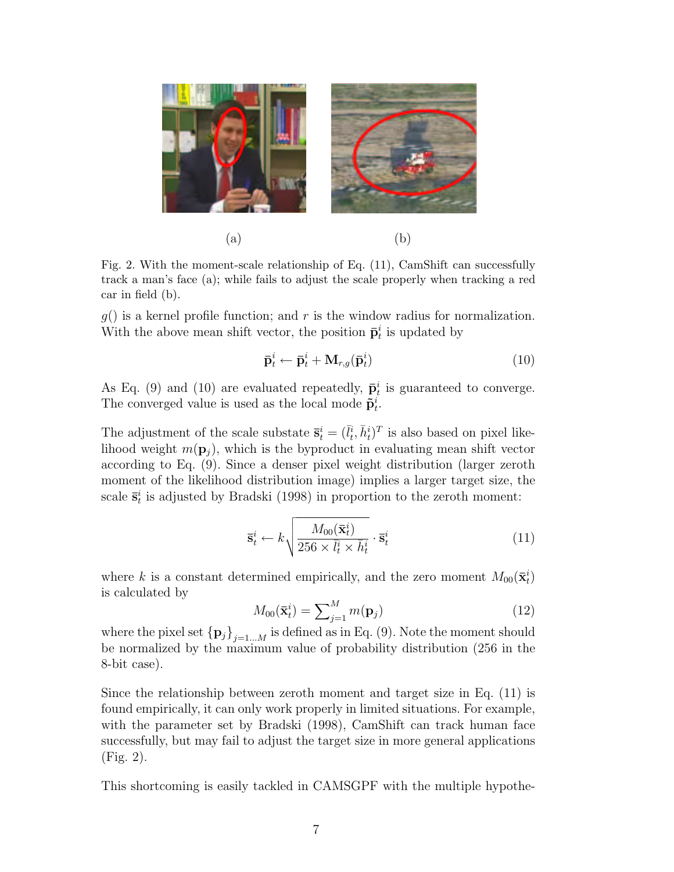

Fig. 2. With the moment-scale relationship of Eq. (11), CamShift can successfully track a man's face (a); while fails to adjust the scale properly when tracking a red car in field (b).

 $g()$  is a kernel profile function; and r is the window radius for normalization. With the above mean shift vector, the position  $\bar{\mathbf{p}}_t^i$  is updated by

$$
\bar{\mathbf{p}}_t^i \leftarrow \bar{\mathbf{p}}_t^i + \mathbf{M}_{r,g}(\bar{\mathbf{p}}_t^i) \tag{10}
$$

As Eq. (9) and (10) are evaluated repeatedly,  $\bar{\mathbf{p}}_t^i$  is guaranteed to converge. The converged value is used as the local mode  $\tilde{\mathbf{p}}_t^i$ .

The adjustment of the scale substate  $\bar{\mathbf{s}}_t^i = (\bar{l}_t^i, \bar{h}_t^i)^T$  is also based on pixel likelihood weight  $m(\mathbf{p}_i)$ , which is the byproduct in evaluating mean shift vector according to Eq. (9). Since a denser pixel weight distribution (larger zeroth moment of the likelihood distribution image) implies a larger target size, the scale  $\bar{\mathbf{s}}_t^i$  is adjusted by Bradski (1998) in proportion to the zeroth moment:

$$
\overline{\mathbf{s}}_t^i \leftarrow k \sqrt{\frac{M_{00}(\overline{\mathbf{x}}_t^i)}{256 \times \overline{l}_t^i \times \overline{h}_t^i}} \cdot \overline{\mathbf{s}}_t^i
$$
\n(11)

where k is a constant determined empirically, and the zero moment  $M_{00}(\bar{\mathbf{x}}_t^i)$ is calculated by

$$
M_{00}(\bar{\mathbf{x}}_t^i) = \sum_{j=1}^M m(\mathbf{p}_j)
$$
\n(12)

where the pixel set  ${p_j}_{j=1...M}$  is defined as in Eq. (9). Note the moment should be normalized by the maximum value of probability distribution (256 in the 8-bit case).

Since the relationship between zeroth moment and target size in Eq. (11) is found empirically, it can only work properly in limited situations. For example, with the parameter set by Bradski (1998), CamShift can track human face successfully, but may fail to adjust the target size in more general applications (Fig. 2).

This shortcoming is easily tackled in CAMSGPF with the multiple hypothe-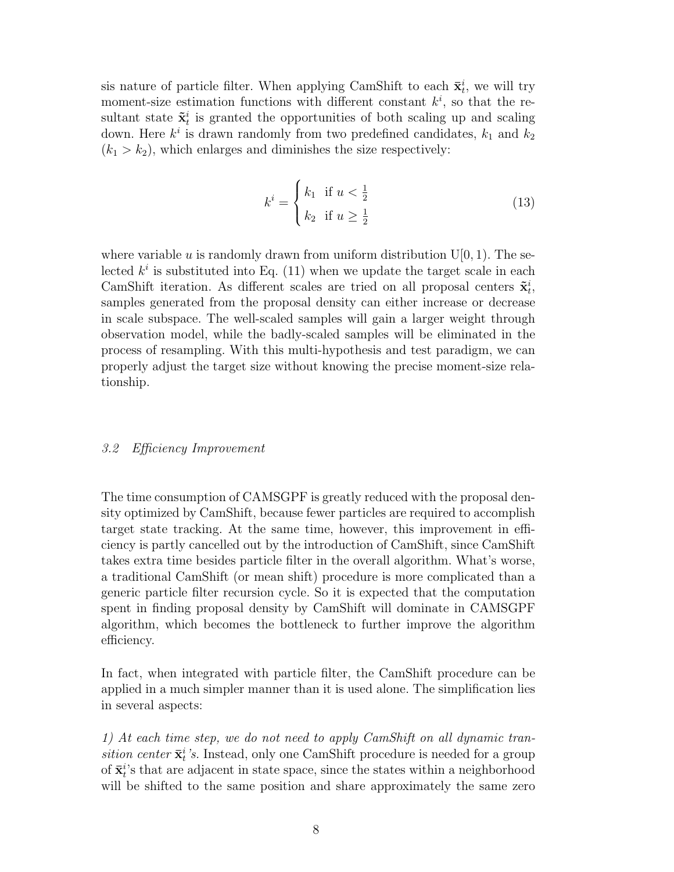sis nature of particle filter. When applying CamShift to each  $\bar{\mathbf{x}}_t^i$ , we will try moment-size estimation functions with different constant  $k^i$ , so that the resultant state  $\tilde{\mathbf{x}}_t^i$  is granted the opportunities of both scaling up and scaling down. Here  $k^i$  is drawn randomly from two predefined candidates,  $k_1$  and  $k_2$  $(k_1 > k_2)$ , which enlarges and diminishes the size respectively:

$$
k^{i} = \begin{cases} k_{1} & \text{if } u < \frac{1}{2} \\ k_{2} & \text{if } u \ge \frac{1}{2} \end{cases}
$$
 (13)

where variable u is randomly drawn from uniform distribution  $U[0, 1)$ . The selected  $k^i$  is substituted into Eq. (11) when we update the target scale in each CamShift iteration. As different scales are tried on all proposal centers  $\tilde{\mathbf{x}}_t^i$ , samples generated from the proposal density can either increase or decrease in scale subspace. The well-scaled samples will gain a larger weight through observation model, while the badly-scaled samples will be eliminated in the process of resampling. With this multi-hypothesis and test paradigm, we can properly adjust the target size without knowing the precise moment-size relationship.

## 3.2 Efficiency Improvement

The time consumption of CAMSGPF is greatly reduced with the proposal density optimized by CamShift, because fewer particles are required to accomplish target state tracking. At the same time, however, this improvement in efficiency is partly cancelled out by the introduction of CamShift, since CamShift takes extra time besides particle filter in the overall algorithm. What's worse, a traditional CamShift (or mean shift) procedure is more complicated than a generic particle filter recursion cycle. So it is expected that the computation spent in finding proposal density by CamShift will dominate in CAMSGPF algorithm, which becomes the bottleneck to further improve the algorithm efficiency.

In fact, when integrated with particle filter, the CamShift procedure can be applied in a much simpler manner than it is used alone. The simplification lies in several aspects:

1) At each time step, we do not need to apply CamShift on all dynamic transition center  $\bar{\mathbf{x}}_t^i$ 's. Instead, only one CamShift procedure is needed for a group of  $\bar{\mathbf{x}}_t^{i}$ 's that are adjacent in state space, since the states within a neighborhood will be shifted to the same position and share approximately the same zero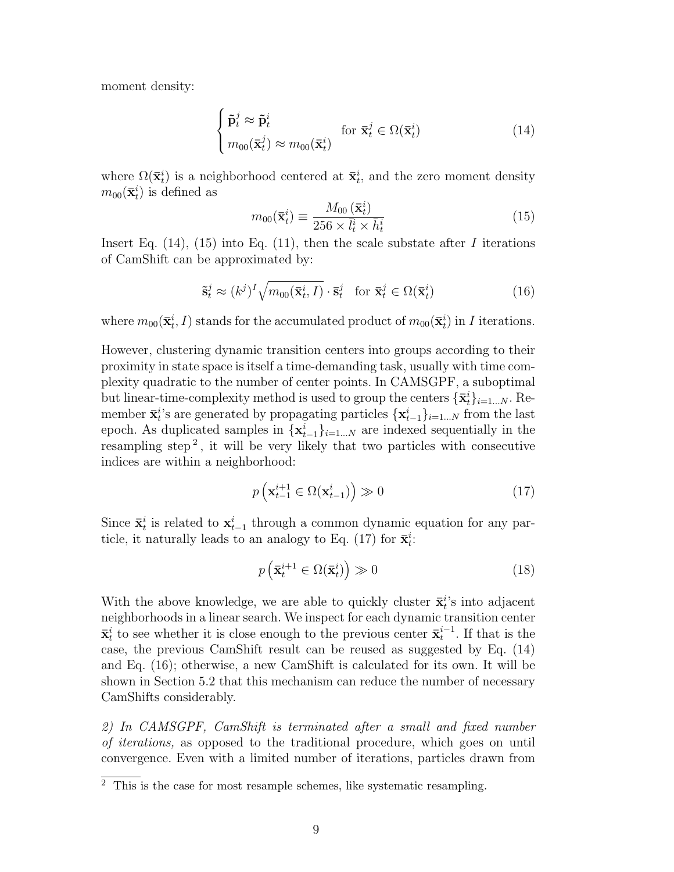moment density:

 $\overline{a}$ 

$$
\begin{cases} \tilde{\mathbf{p}}_t^j \approx \tilde{\mathbf{p}}_t^i\\ m_{00}(\bar{\mathbf{x}}_t^j) \approx m_{00}(\bar{\mathbf{x}}_t^i) \end{cases} \text{ for } \bar{\mathbf{x}}_t^j \in \Omega(\bar{\mathbf{x}}_t^i)
$$
 (14)

where  $\Omega(\bar{\mathbf{x}}_t^i)$  is a neighborhood centered at  $\bar{\mathbf{x}}_t^i$ , and the zero moment density  $m_{00}(\bar{\mathbf{x}}_t^i)$  is defined as

$$
m_{00}(\bar{\mathbf{x}}_t^i) \equiv \frac{M_{00}(\bar{\mathbf{x}}_t^i)}{256 \times \bar{l}_t^i \times \bar{h}_t^i}
$$
(15)

Insert Eq.  $(14)$ ,  $(15)$  into Eq.  $(11)$ , then the scale substate after I iterations of CamShift can be approximated by:

$$
\tilde{\mathbf{s}}_t^j \approx (k^j)^I \sqrt{m_{00}(\bar{\mathbf{x}}_t^i, I)} \cdot \bar{\mathbf{s}}_t^j \quad \text{for } \bar{\mathbf{x}}_t^j \in \Omega(\bar{\mathbf{x}}_t^i)
$$
 (16)

where  $m_{00}(\bar{\mathbf{x}}_t^i, I)$  stands for the accumulated product of  $m_{00}(\bar{\mathbf{x}}_t^i)$  in I iterations.

However, clustering dynamic transition centers into groups according to their proximity in state space is itself a time-demanding task, usually with time complexity quadratic to the number of center points. In CAMSGPF, a suboptimal but linear-time-complexity method is used to group the centers  $\{\bar{\mathbf{x}}_t^i\}_{i=1...N}$ . Remember  $\bar{\mathbf{x}}_t^{i}$ 's are generated by propagating particles  $\{\mathbf{x}_{t-1}^{i}\}_{i=1...N}$  from the last epoch. As duplicated samples in  $\{\mathbf x_{t-1}^i\}_{i=1...N}$  are indexed sequentially in the resampling step<sup>2</sup>, it will be very likely that two particles with consecutive indices are within a neighborhood:

$$
p\left(\mathbf{x}_{t-1}^{i+1} \in \Omega(\mathbf{x}_{t-1}^i)\right) \gg 0 \tag{17}
$$

Since  $\bar{\mathbf{x}}_t^i$  is related to  $\mathbf{x}_{t-1}^i$  through a common dynamic equation for any particle, it naturally leads to an analogy to Eq. (17) for  $\bar{\mathbf{x}}_t^i$ :

$$
p\left(\bar{\mathbf{x}}_t^{i+1} \in \Omega(\bar{\mathbf{x}}_t^i)\right) \gg 0 \tag{18}
$$

With the above knowledge, we are able to quickly cluster  $\bar{\mathbf{x}}_t^{i}$ 's into adjacent neighborhoods in a linear search. We inspect for each dynamic transition center  $\bar{\mathbf{x}}_t^i$  to see whether it is close enough to the previous center  $\bar{\mathbf{x}}_t^{i-1}$ . If that is the case, the previous CamShift result can be reused as suggested by Eq. (14) and Eq. (16); otherwise, a new CamShift is calculated for its own. It will be shown in Section 5.2 that this mechanism can reduce the number of necessary CamShifts considerably.

2) In CAMSGPF, CamShift is terminated after a small and fixed number of iterations, as opposed to the traditional procedure, which goes on until convergence. Even with a limited number of iterations, particles drawn from

 $\overline{2}$  This is the case for most resample schemes, like systematic resampling.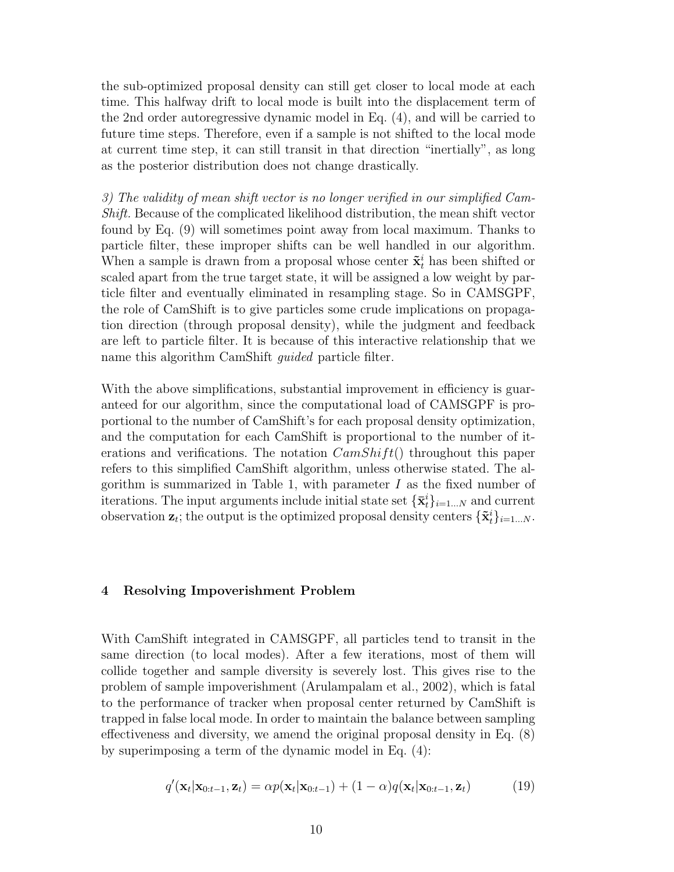the sub-optimized proposal density can still get closer to local mode at each time. This halfway drift to local mode is built into the displacement term of the 2nd order autoregressive dynamic model in Eq. (4), and will be carried to future time steps. Therefore, even if a sample is not shifted to the local mode at current time step, it can still transit in that direction "inertially", as long as the posterior distribution does not change drastically.

3) The validity of mean shift vector is no longer verified in our simplified Cam-Shift. Because of the complicated likelihood distribution, the mean shift vector found by Eq. (9) will sometimes point away from local maximum. Thanks to particle filter, these improper shifts can be well handled in our algorithm. When a sample is drawn from a proposal whose center  $\tilde{\mathbf{x}}_t^i$  has been shifted or scaled apart from the true target state, it will be assigned a low weight by particle filter and eventually eliminated in resampling stage. So in CAMSGPF, the role of CamShift is to give particles some crude implications on propagation direction (through proposal density), while the judgment and feedback are left to particle filter. It is because of this interactive relationship that we name this algorithm CamShift guided particle filter.

With the above simplifications, substantial improvement in efficiency is guaranteed for our algorithm, since the computational load of CAMSGPF is proportional to the number of CamShift's for each proposal density optimization, and the computation for each CamShift is proportional to the number of iterations and verifications. The notation  $CamShift()$  throughout this paper refers to this simplified CamShift algorithm, unless otherwise stated. The algorithm is summarized in Table 1, with parameter  $I$  as the fixed number of iterations. The input arguments include initial state set  $\{\mathbf{\bar{x}}_t^i\}_{i=1...N}$  and current observation  $\mathbf{z}_t$ ; the output is the optimized proposal density centers  $\{\tilde{\mathbf{x}}_t^i\}_{i=1...N}$ .

#### 4 Resolving Impoverishment Problem

With CamShift integrated in CAMSGPF, all particles tend to transit in the same direction (to local modes). After a few iterations, most of them will collide together and sample diversity is severely lost. This gives rise to the problem of sample impoverishment (Arulampalam et al., 2002), which is fatal to the performance of tracker when proposal center returned by CamShift is trapped in false local mode. In order to maintain the balance between sampling effectiveness and diversity, we amend the original proposal density in Eq. (8) by superimposing a term of the dynamic model in Eq. (4):

$$
q'(\mathbf{x}_t|\mathbf{x}_{0:t-1},\mathbf{z}_t) = \alpha p(\mathbf{x}_t|\mathbf{x}_{0:t-1}) + (1-\alpha)q(\mathbf{x}_t|\mathbf{x}_{0:t-1},\mathbf{z}_t)
$$
(19)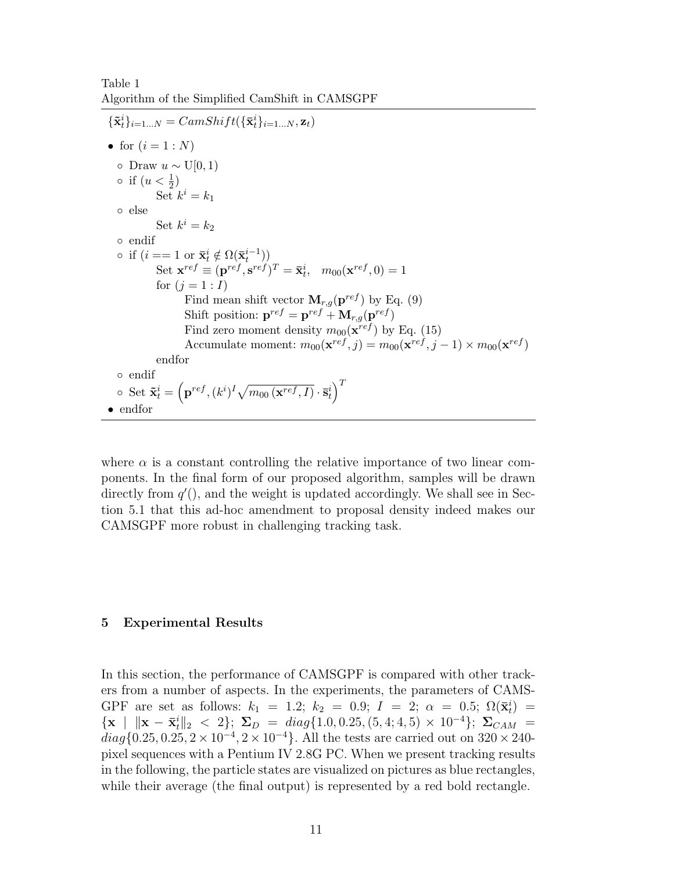Table 1 Algorithm of the Simplified CamShift in CAMSGPF

```
\{\tilde{\mathbf{x}}_t^i\}_{i=1...N} = CamShift(\{\bar{\mathbf{x}}_t^i\}_{i=1...N}, \mathbf{z}_t)• for (i = 1:N)\circ Draw u \sim U[0, 1)\circ if (u < \frac{1}{2})Set k^i = k_1◦ else
               Set k^i = k_2◦ endif
\circ if (i == 1 \text{ or } \bar{\mathbf{x}}_t^i \notin \Omega(\bar{\mathbf{x}}_t^{i-1}))Set \mathbf{x}^{ref} \equiv (\mathbf{p}^{ref}, \mathbf{s}^{ref})^T = \bar{\mathbf{x}}_t^i, m_{00}(\mathbf{x}^{ref}, 0) = 1for (j = 1 : I)Find mean shift vector \mathbf{M}_{r,q}(\mathbf{p}^{ref}) by Eq. (9)
                          Shift position: \mathbf{p}^{ref} = \mathbf{p}^{ref} + \mathbf{M}_{r,q}(\mathbf{p}^{ref})Find zero moment density m_{00}(\mathbf{x}^{ref}) by Eq. (15)
                          Accumulate moment: m_{00}(\mathbf{x}^{ref}, j) = m_{00}(\mathbf{x}^{ref}, j - 1) \times m_{00}(\mathbf{x}^{ref})endfor
◦ endif
\circ Set \tilde{\mathbf{x}}_t^i =\overline{a}\mathbf{p}^{ref}, (k^i)^I \sqrt{\ }\overline{m_{00}\left(\mathbf{x}^{ref}, I\right)}\cdot \mathbf{\bar{s}}_t^i\sqrt{T}• endfor
```
where  $\alpha$  is a constant controlling the relative importance of two linear components. In the final form of our proposed algorithm, samples will be drawn directly from  $q'$ ), and the weight is updated accordingly. We shall see in Section 5.1 that this ad-hoc amendment to proposal density indeed makes our CAMSGPF more robust in challenging tracking task.

#### 5 Experimental Results

In this section, the performance of CAMSGPF is compared with other trackers from a number of aspects. In the experiments, the parameters of CAMS-GPF are set as follows:  $k_1 = 1.2$ ;  $k_2 = 0.9$ ;  $I = 2$ ;  $\alpha = 0.5$ ;  $\Omega(\bar{\mathbf{x}}_t^i)$  =  ${x \mid ||x - \bar{x}_t||_2 < 2}; \Sigma_D = diag{1.0, 0.25, (5, 4; 4, 5) \times 10^{-4}}; \Sigma_{CAM} =$  $diag\{0.25, 0.25, 2 \times 10^{-4}, 2 \times 10^{-4}\}.$  All the tests are carried out on  $320 \times 240$ pixel sequences with a Pentium IV 2.8G PC. When we present tracking results in the following, the particle states are visualized on pictures as blue rectangles, while their average (the final output) is represented by a red bold rectangle.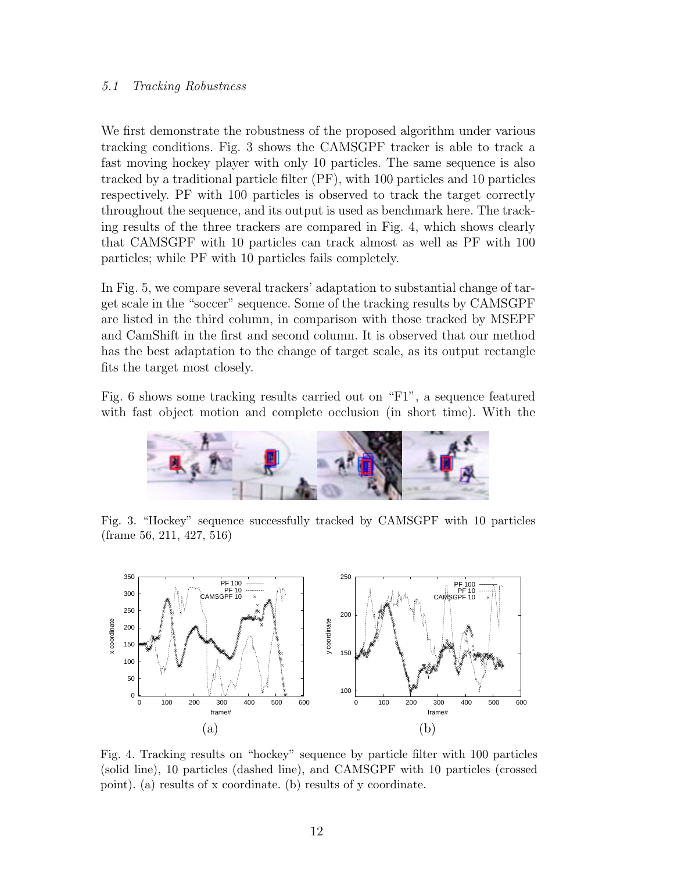## 5.1 Tracking Robustness

We first demonstrate the robustness of the proposed algorithm under various tracking conditions. Fig. 3 shows the CAMSGPF tracker is able to track a fast moving hockey player with only 10 particles. The same sequence is also tracked by a traditional particle filter (PF), with 100 particles and 10 particles respectively. PF with 100 particles is observed to track the target correctly throughout the sequence, and its output is used as benchmark here. The tracking results of the three trackers are compared in Fig. 4, which shows clearly that CAMSGPF with 10 particles can track almost as well as PF with 100 particles; while PF with 10 particles fails completely.

In Fig. 5, we compare several trackers' adaptation to substantial change of target scale in the "soccer" sequence. Some of the tracking results by CAMSGPF are listed in the third column, in comparison with those tracked by MSEPF and CamShift in the first and second column. It is observed that our method has the best adaptation to the change of target scale, as its output rectangle fits the target most closely.

Fig. 6 shows some tracking results carried out on "F1", a sequence featured with fast object motion and complete occlusion (in short time). With the



Fig. 3. "Hockey" sequence successfully tracked by CAMSGPF with 10 particles (frame 56, 211, 427, 516)



Fig. 4. Tracking results on "hockey" sequence by particle filter with 100 particles (solid line), 10 particles (dashed line), and CAMSGPF with 10 particles (crossed point). (a) results of x coordinate. (b) results of y coordinate.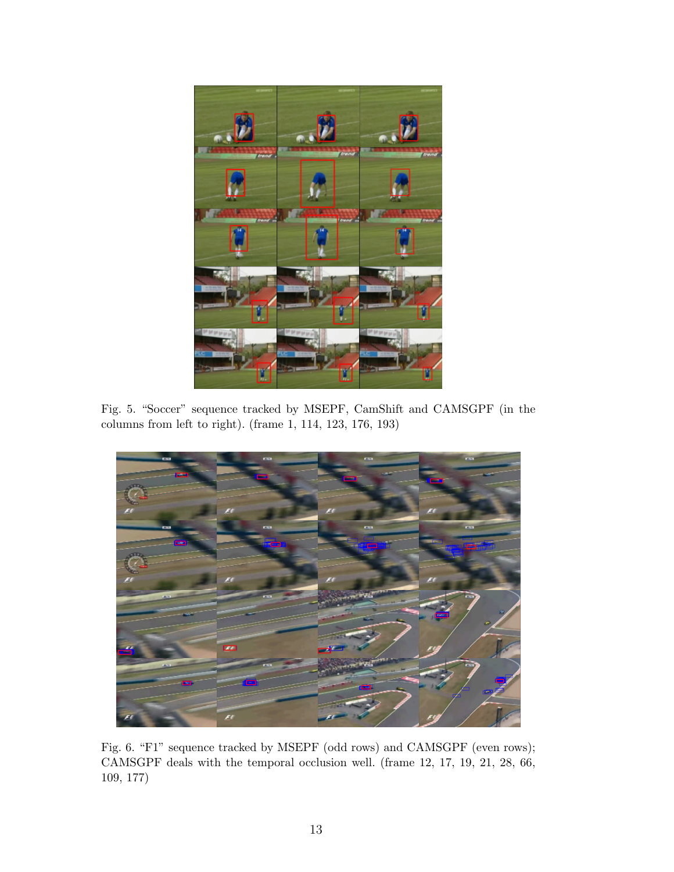

Fig. 5. "Soccer" sequence tracked by MSEPF, CamShift and CAMSGPF (in the columns from left to right). (frame 1, 114, 123, 176, 193)



Fig. 6. "F1" sequence tracked by MSEPF (odd rows) and CAMSGPF (even rows); CAMSGPF deals with the temporal occlusion well. (frame 12, 17, 19, 21, 28, 66, 109, 177)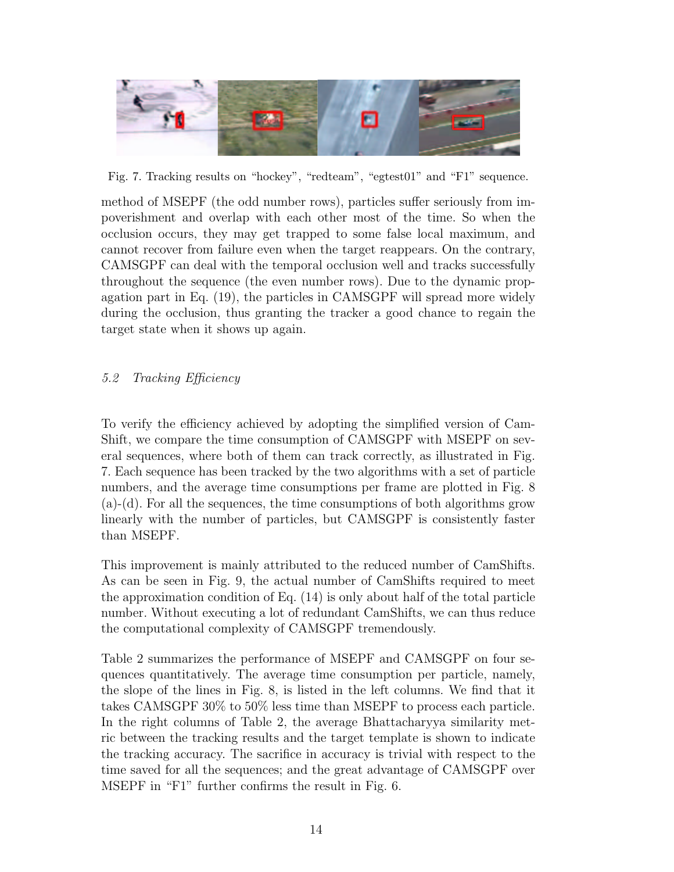

Fig. 7. Tracking results on "hockey", "redteam", "egtest01" and "F1" sequence.

method of MSEPF (the odd number rows), particles suffer seriously from impoverishment and overlap with each other most of the time. So when the occlusion occurs, they may get trapped to some false local maximum, and cannot recover from failure even when the target reappears. On the contrary, CAMSGPF can deal with the temporal occlusion well and tracks successfully throughout the sequence (the even number rows). Due to the dynamic propagation part in Eq. (19), the particles in CAMSGPF will spread more widely during the occlusion, thus granting the tracker a good chance to regain the target state when it shows up again.

# 5.2 Tracking Efficiency

To verify the efficiency achieved by adopting the simplified version of Cam-Shift, we compare the time consumption of CAMSGPF with MSEPF on several sequences, where both of them can track correctly, as illustrated in Fig. 7. Each sequence has been tracked by the two algorithms with a set of particle numbers, and the average time consumptions per frame are plotted in Fig. 8 (a)-(d). For all the sequences, the time consumptions of both algorithms grow linearly with the number of particles, but CAMSGPF is consistently faster than MSEPF.

This improvement is mainly attributed to the reduced number of CamShifts. As can be seen in Fig. 9, the actual number of CamShifts required to meet the approximation condition of Eq. (14) is only about half of the total particle number. Without executing a lot of redundant CamShifts, we can thus reduce the computational complexity of CAMSGPF tremendously.

Table 2 summarizes the performance of MSEPF and CAMSGPF on four sequences quantitatively. The average time consumption per particle, namely, the slope of the lines in Fig. 8, is listed in the left columns. We find that it takes CAMSGPF 30% to 50% less time than MSEPF to process each particle. In the right columns of Table 2, the average Bhattacharyya similarity metric between the tracking results and the target template is shown to indicate the tracking accuracy. The sacrifice in accuracy is trivial with respect to the time saved for all the sequences; and the great advantage of CAMSGPF over MSEPF in "F1" further confirms the result in Fig. 6.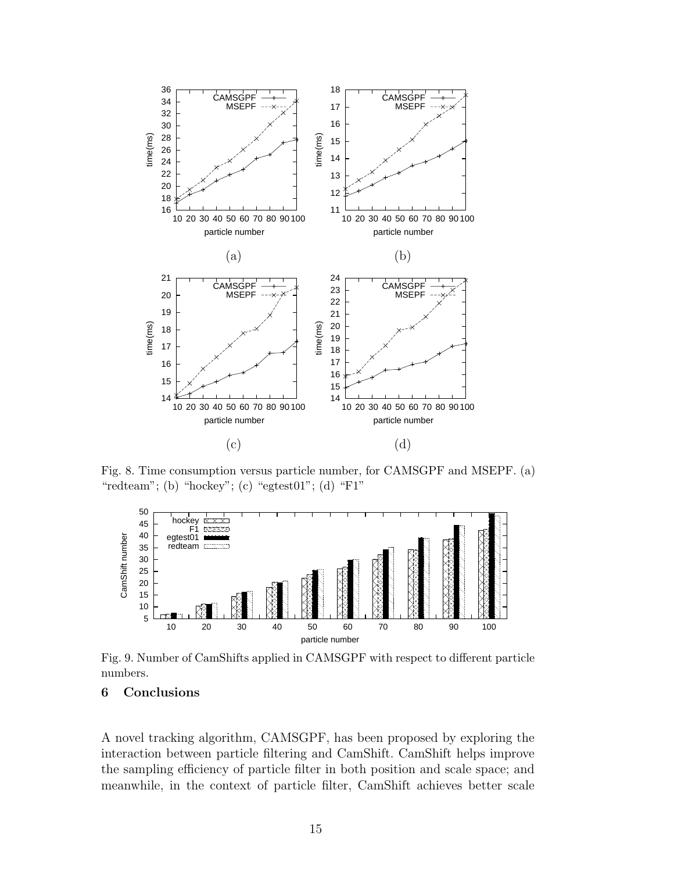

Fig. 8. Time consumption versus particle number, for CAMSGPF and MSEPF. (a) "redteam"; (b) "hockey"; (c) "egtest $01$ "; (d) "F1"



Fig. 9. Number of CamShifts applied in CAMSGPF with respect to different particle numbers.

# 6 Conclusions

A novel tracking algorithm, CAMSGPF, has been proposed by exploring the interaction between particle filtering and CamShift. CamShift helps improve the sampling efficiency of particle filter in both position and scale space; and meanwhile, in the context of particle filter, CamShift achieves better scale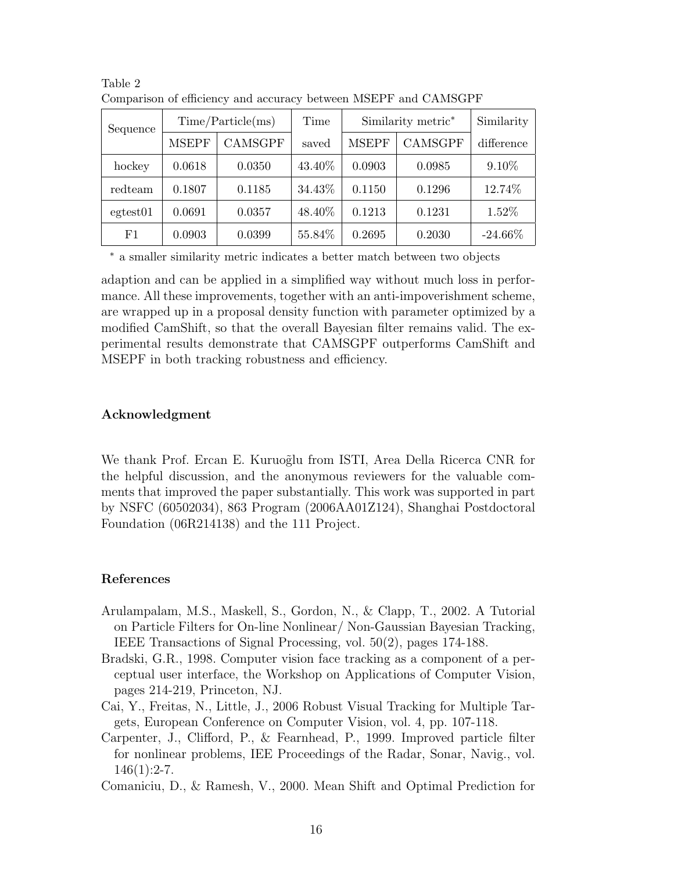| Sequence          | Time/Particle(ms) |                | Time   | Similarity metric* |         | Similarity |
|-------------------|-------------------|----------------|--------|--------------------|---------|------------|
|                   | <b>MSEPF</b>      | <b>CAMSGPF</b> | saved  | <b>MSEPF</b>       | CAMSGPF | difference |
| hockey            | 0.0618            | 0.0350         | 43.40% | 0.0903             | 0.0985  | $9.10\%$   |
| redteam           | 0.1807            | 0.1185         | 34.43% | 0.1150             | 0.1296  | 12.74%     |
| $\text{egtest}01$ | 0.0691            | 0.0357         | 48.40% | 0.1213             | 0.1231  | 1.52%      |
| F1                | 0.0903            | 0.0399         | 55.84% | 0.2695             | 0.2030  | $-24.66\%$ |

Table 2 Comparison of efficiency and accuracy between MSEPF and CAMSGPF

<sup>∗</sup> a smaller similarity metric indicates a better match between two objects

adaption and can be applied in a simplified way without much loss in performance. All these improvements, together with an anti-impoverishment scheme, are wrapped up in a proposal density function with parameter optimized by a modified CamShift, so that the overall Bayesian filter remains valid. The experimental results demonstrate that CAMSGPF outperforms CamShift and MSEPF in both tracking robustness and efficiency.

#### Acknowledgment

We thank Prof. Ercan E. Kuruoğlu from ISTI, Area Della Ricerca CNR for the helpful discussion, and the anonymous reviewers for the valuable comments that improved the paper substantially. This work was supported in part by NSFC (60502034), 863 Program (2006AA01Z124), Shanghai Postdoctoral Foundation (06R214138) and the 111 Project.

#### References

- Arulampalam, M.S., Maskell, S., Gordon, N., & Clapp, T., 2002. A Tutorial on Particle Filters for On-line Nonlinear/ Non-Gaussian Bayesian Tracking, IEEE Transactions of Signal Processing, vol. 50(2), pages 174-188.
- Bradski, G.R., 1998. Computer vision face tracking as a component of a perceptual user interface, the Workshop on Applications of Computer Vision, pages 214-219, Princeton, NJ.
- Cai, Y., Freitas, N., Little, J., 2006 Robust Visual Tracking for Multiple Targets, European Conference on Computer Vision, vol. 4, pp. 107-118.
- Carpenter, J., Clifford, P., & Fearnhead, P., 1999. Improved particle filter for nonlinear problems, IEE Proceedings of the Radar, Sonar, Navig., vol.  $146(1):2-7.$
- Comaniciu, D., & Ramesh, V., 2000. Mean Shift and Optimal Prediction for